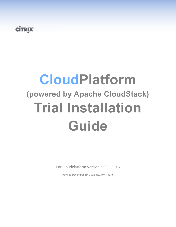## **CİTRIX**

# **CloudPlatform (powered by Apache CloudStack) Trial Installation Guide**

For CloudPlatform Version 3.0.3 - 3.0.6

Revised December 19, 2012 3:22 PM Pacific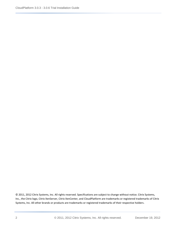© 2011, 2012 Citrix Systems, Inc. All rights reserved. Specifications are subject to change without notice. Citrix Systems, Inc., the Citrix logo, Citrix XenServer, Citrix XenCenter, and CloudPlatform are trademarks or registered trademarks of Citrix Systems, Inc. All other brands or products are trademarks or registered trademarks of their respective holders.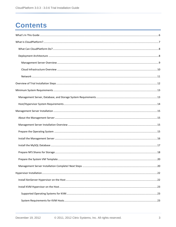## **Contents**

| . 20 |
|------|
|      |
|      |
|      |
|      |
|      |
|      |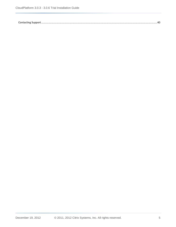[Contacting Support................................................................................................................................................................40](#page-39-3)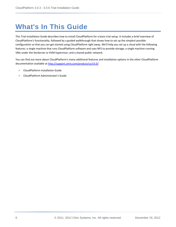## <span id="page-5-0"></span>**What's In This Guide**

This Trial Installation Guide describes how to install CloudPlatform for a basic trial setup. It includes a brief overview of CloudPlatform's functionality, followed by a guided walkthrough that shows how to set up the simplest possible configuration so that you can get started using CloudPlatform right away. We'll help you set up a cloud with the following features: a single machine that runs CloudPlatform software and uses NFS to provide storage; a single machine running VMs under the XenServer or KVM hypervisor; and a shared public network.

You can find out more about CloudPlatform's many additional features and installation options in the other CloudPlatform documentation available at [http://support.citrix.com/product/cs/v3.0/:](http://support.citrix.com/product/cs/v3.0/)

- $\triangleright$  CloudPlatform Installation Guide
- ▶ CloudPlatform Administrator's Guide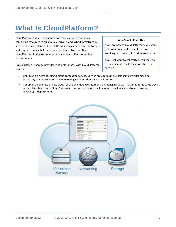## <span id="page-6-0"></span>**What Is CloudPlatform?**

CloudPlatform™ is an open source software platform that pools computing resources to build public, private, and hybrid Infrastructure as a Service (IaaS) clouds. CloudPlatform manages the network, storage, and compute nodes that make up a cloud infrastructure. Use CloudPlatform to deploy, manage, and configure cloud computing environments.

#### **Who Should Read This**

If you are new to CloudPlatform or you want to learn more about concepts before installing and running it, read this overview.

If you just want to get started, you can skip to [Overview of Trial](#page-11-0) Installation Steps on page [12.](#page-11-0)

Typical users are service providers and enterprises. With CloudPlatform, you can:

- $\triangleright$  Set up an on-demand, elastic cloud computing service. Service providers can sell self-service virtual machine instances, storage volumes, and networking configurations over the Internet.
- $\triangleright$  Set up an on-premise private cloud for use by employees. Rather than managing virtual machines in the same way as physical machines, with CloudPlatform an enterprise can offer self-service virtual machines to users without involving IT departments.

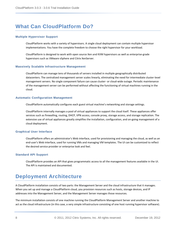### <span id="page-7-0"></span>**What Can CloudPlatform Do?**

#### **Multiple Hypervisor Support**

CloudPlatform works with a variety of hypervisors. A single cloud deployment can contain multiple hypervisor implementations. You have the complete freedom to choose the right hypervisor for your workload.

CloudPlatform is designed to work with open source Xen and KVM hypervisors as well as enterprise-grade hypervisors such as VMware vSphere and Citrix XenServer.

#### **Massively Scalable Infrastructure Management**

CloudPlatform can manage tens of thousands of servers installed in multiple geographically distributed datacenters. The centralized management server scales linearly, eliminating the need for intermediate cluster-level management servers. No single component failure can cause cluster- or cloud-wide outage. Periodic maintenance of the management server can be performed without affecting the functioning of virtual machines running in the cloud.

#### **Automatic Configuration Management**

CloudPlatform automatically configures each guest virtual machine's networking and storage settings.

CloudPlatform internally manages a pool of virtual appliances to support the cloud itself. These appliances offer services such as firewalling, routing, DHCP, VPN access, console proxy, storage access, and storage replication. The extensive use of virtual appliances greatly simplifies the installation, configuration, and on-going management of a cloud deployment.

#### **Graphical User Interface**

CloudPlatform offers an administrator's Web interface, used for provisioning and managing the cloud, as well as an end-user's Web interface, used for running VMs and managing VM templates. The UI can be customized to reflect the desired service provider or enterprise look and feel.

#### **Standard API Support**

CloudPlatform provides an API that gives programmatic access to all the management features available in the UI. The API is maintained and documented.

### <span id="page-7-1"></span>**Deployment Architecture**

A CloudPlatform installation consists of two parts: the Management Server and the cloud infrastructure that it manages. When you set up and manage a CloudPlatform cloud, you provision resources such as hosts, storage devices, and IP addresses into the Management Server, and the Management Server manages those resources.

The minimum installation consists of one machine running the CloudPlatform Management Server and another machine to act as the cloud infrastructure (in this case, a very simple infrastructure consisting of one host running hypervisor software).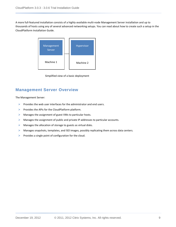A more full-featured installation consists of a highly-available multi-node Management Server installation and up to thousands of hosts using any of several advanced networking setups. You can read about how to create such a setup in the CloudPlatform Installation Guide.



Simplified view of a basic deployment

#### <span id="page-8-0"></span>**Management Server Overview**

The Management Server:

- $\triangleright$  Provides the web user interfaces for the administrator and end users.
- $\triangleright$  Provides the APIs for the CloudPlatform platform.
- $\triangleright$  Manages the assignment of guest VMs to particular hosts.
- **EXECUTE:** Manages the assignment of public and private IP addresses to particular accounts.
- $\triangleright$  Manages the allocation of storage to guests as virtual disks.
- Manages snapshots, templates, and ISO images, possibly replicating them across data centers.
- Provides a single point of configuration for the cloud.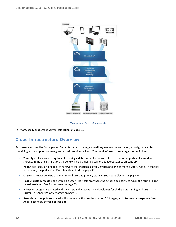

#### **Management Server Components**

For more, see [Management Server Installation](#page-14-0) on page [15.](#page-14-0)

#### <span id="page-9-0"></span>**Cloud Infrastructure Overview**

As its name implies, the Management Server is there to manage something -- one or more zones (typically, datacenters) containing host computers where guest virtual machines will run. The cloud infrastructure is organized as follows:

- **Zone**: Typically, a zone is equivalent to a single datacenter. A zone consists of one or more pods and secondary storage. In the trial installation, the zone will be a simplified version. Se[e About Zones](#page-28-1) on page [29.](#page-28-1)
- **▶ Pod**: A pod is usually one rack of hardware that includes a layer-2 switch and one or more clusters. Again, in the trial installation, the pod is simplified. See [About Pods](#page-30-1) on pag[e 31.](#page-30-1)
- **Cluster**: A cluster consists of one or more hosts and primary storage. Se[e About Clusters](#page-32-1) on pag[e 33.](#page-32-1)
- **Host**: A single compute node within a cluster. The hosts are where the actual cloud services run in the form of guest virtual machines. See [About Hosts](#page-34-1) on page [35.](#page-34-1)
- **Primary storage** is associated with a cluster, and it stores the disk volumes for all the VMs running on hosts in that cluster. Se[e About Primary Storage](#page-36-1) on page [37.](#page-36-1)
- **Secondary storage** is associated with a zone, and it stores templates, ISO images, and disk volume snapshots. See [About Secondary Storage](#page-37-1) on pag[e 38.](#page-37-1)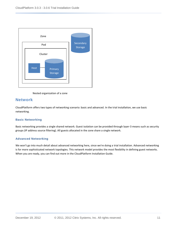

Nested organization of a zone

#### <span id="page-10-0"></span>**Network**

CloudPlatform offers two types of networking scenario: basic and advanced. In the trial installation, we use basic networking.

#### **Basic Networking**

Basic networking provides a single shared network. Guest isolation can be provided through layer-3 means such as security groups (IP address source filtering). All guests allocated in the zone share a single network.

#### **Advanced Networking**

We won't go into much detail about advanced networking here, since we're doing a trial installation. Advanced networking is for more sophisticated network topologies. This network model provides the most flexibility in defining guest networks. When you are ready, you can find out more in the CloudPlatform Installation Guide.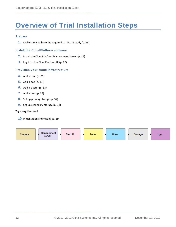## <span id="page-11-0"></span>**Overview of Trial Installation Steps**

#### **Prepare**

**1.** Make sure you have the required hardware ready (p. [13\)](#page-12-0)

#### **Install the CloudPlatform software**

- **2.** Install the CloudPlatform Management Server (p. [15\)](#page-14-0)
- **3.** Log in to the CloudPlatform UI (p. [27\)](#page-26-0)

#### **Provision your cloud infrastructure**

- **4.** Add a zone (p[. 29\)](#page-28-0)
- **5.** Add a pod (p[. 31\)](#page-30-0)
- **6.** Add a cluster (p[. 33\)](#page-32-0)
- **7.** Add a host (p[. 35\)](#page-34-0)
- **8.** Set up primary storage (p. [37\)](#page-36-0)
- **9.** Set up secondary storage (p[. 38\)](#page-37-0)

#### **Try using the cloud**

**10.** Initialization and testing (p. [39\)](#page-38-0)

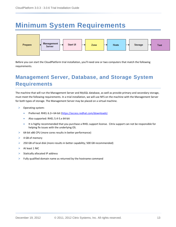## <span id="page-12-0"></span>**Minimum System Requirements**



Before you can start the CloudPlatform trial installation, you'll need one or two computers that match the following requirements.

### <span id="page-12-1"></span>**Management Server, Database, and Storage System Requirements**

The machine that will run the Management Server and MySQL database, as well as provide primary and secondary storage, must meet the following requirements. In a trial installation, we will use NFS on the machine with the Management Server for both types of storage. The Management Server may be placed on a virtual machine.

- Operating system:
	- Preferred: RHEL 6.2+ 64-bit [\(https://access.redhat.com/downloads\)](https://access.redhat.com/downloads)
	- Also supported: RHEL 5.4-5.x 64-bit
	- It is highly recommended that you purchase a RHEL support license. Citrix support can not be responsible for helping fix issues with the underlying OS.
- 64-bit x86 CPU (more cores results in better performance)
- $\triangleright$  4 GB of memory
- $\geq$  250 GB of local disk (more results in better capability; 500 GB recommended)
- $\triangleright$  At least 1 NIC
- $\triangleright$  Statically allocated IP address
- $\triangleright$  Fully qualified domain name as returned by the hostname command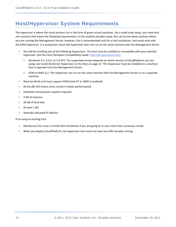### <span id="page-13-0"></span>**Host/Hypervisor System Requirements**

The hypervisor is where the cloud services run in the form of guest virtual machines. For a small-scale setup, you need only one machine that meets the following requirements. In the smallest possible setup, this can be the same machine where you are running the Management Server; however, this is recommended only for a trial installation, and works only with the KVM hypervisor. In a production cloud, the hypervisor does not run on the same machine with the Management Server.

- $\triangleright$  You will be installing one of the following hypervisors. The host must be certified as compatible with your selected hypervisor. See the Citrix Hardware Compatibility Guide: <http://hcl.xensource.com/>
	- XenServer 6.1, 6.0.2, or 5.6 SP2. The supported version depends on which version of CloudPlatform you are using; see [Install XenServer Hypervisor on the Host](#page-21-1) on page [22.](#page-21-1) This hypervisor must be installed on a machine that is separate from the Management Server.
	- KVM on RHEL 6.2. This hypervisor can run on the same machine with the Management Server or on a separate machine.
- Must be 64-bit and must support HVM (Intel-VT or AMD-V enabled).
- $\triangleright$  64-bit x86 CPU (more cores results in better performance)
- $\blacktriangleright$  Hardware virtualization support required
- $\triangleright$  4 GB of memory
- $\geq$  30 GB of local disk
- $\triangleright$  At least 1 NIC
- Statically allocated IP Address

If re-using an existing host:

- (XenServer) You must re-install Citrix XenServer if you are going to re-use a host from a previous install.
- When you deploy CloudPlatform, the hypervisor host must not have any VMs already running.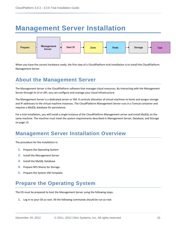## <span id="page-14-0"></span>**Management Server Installation**



When you have the correct hardware ready, the first step of a CloudPlatform trial installation is to install the CloudPlatform Management Server.

### <span id="page-14-1"></span>**About the Management Server**

The Management Server is the CloudPlatform software that manages cloud resources. By interacting with the Management Server through its UI or API, you can configure and manage your cloud infrastructure.

The Management Server is a dedicated server or VM. It controls allocation of virtual machines to hosts and assigns storage and IP addresses to the virtual machine instances. The CloudPlatform Management Server runs in a Tomcat container and requires a MySQL database for persistence.

For a trial installation, you will install a single instance of the CloudPlatform Management server and install MySQL on the same machine. The machine must meet the system requirements described in [Management Server, Database, and Storage](#page-12-1) on page [13.](#page-12-1)

### <span id="page-14-2"></span>**Management Server Installation Overview**

The procedure for the installation is:

- **1.** [Prepare the Operating System](#page-14-3)
- **2.** [Install the Management Server](#page-15-0)
- **3.** [Install the MySQL Database](#page-16-0)
- **4.** [Prepare NFS Shares](#page-17-0) for Storage
- **5.** [Prepare the System VM Template](#page-19-0)

### <span id="page-14-3"></span>**Prepare the Operating System**

The OS must be prepared to host the Management Server using the following steps.

**1.** Log in to your OS as root. All the following commands should be run as root.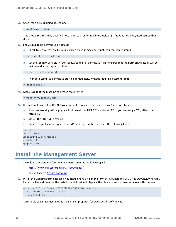**2.** Check for a fully qualified hostname.

#### # hostname --fqdn

This should return a fully qualified hostname, such as kvm1.lab.example.org. If it does not, edit /etc/hosts so that it does.

- **3.** Set SELinux to be permissive by default.
	- a. Check to see whether SELinux is installed on your machine. If not, you can skip to step [4.](#page-15-1)

# rpm -qa | grep selinux

b. Set the SELINUX variable in /etc/selinux/config to "permissive". This ensures that the permissive setting will be maintained after a system reboot.

# vi /etc/selinux/config

c. Then set SELinux to permissive starting immediately, without requiring a system reboot.

# setenforce 0

<span id="page-15-1"></span>**4.** Make sure that the machine can reach the Internet.

# ping www.google.com

- **5.** If you do not have a Red Hat Network account, you need to prepare a local Yum repository.
	- a. If you are working with a physical host, insert the RHEL 6.2 installation CD. If you are using a VM, attach the RHEL6 ISO.
	- b. Mount the CDROM to /media.
	- c. Create a repo file at /etc/yum.repos.d/rhel6.repo. In the file, insert the following lines:

```
[rhel]
name=rhel6
baseurl=file:///media
enabled=1
gpgcheck=0
```
#### <span id="page-15-0"></span>**Install the Management Server**

**1.** Download the CloudPlatform Management Server at the following link.

<https://www.citrix.com/English/ss/downloads/>

You will need a **MyCitrix account**.

**2.** Install the CloudPlatform packages. You should have a file in the form of "CloudStack-VERSION-N-OSVERSION.tar.gz". Untar the file and then run the install.sh script inside it. Replace the file and directory names below with your own:

# tar xzf CloudStack-VERSION-N-OSVERSION.tar.gz

- # cd CloudStack-VERSION-N-OSVERSION
- # ./install.sh

You should see a few messages as the installer prepares, followed by a list of choices.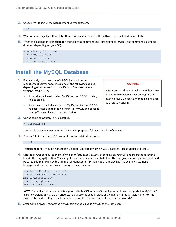**3.** Choose "M" to install the Management Server software.

>M

- **4.** Wait for a message like "Complete! Done," which indicates that the software was installed successfully.
- **5.** When the installation is finished, run the following commands to start essential services (the commands might be different depending on your OS):
	- # service rpcbind start # service nfs start # chkconfig nfs on # chkconfig rpcbind on

### <span id="page-16-0"></span>**Install the MySQL Database**

- **1.** If you already have a version of MySQL installed on the Management Server node, make one of the following choices, depending on what version of MySQL it is. The most recent version tested is 5.1.58.
	- **If you already have installed MySQL version 5.1.58 or later,** skip to step 4.
	- If you have installed a version of MySQL earlier than 5.1.58, you can either skip to step 4 or uninstall MySQL and proceed to step 2 to install a more recent version.
- **2.** On the same computer, re-run install.sh.

#### # ./install.sh

You should see a few messages as the installer prepares, followed by a list of choices.

**3.** Choose D to install the MySQL server from the distribution's repo.

> D

Troubleshooting: If you do not see the D option, you already have MySQL installed. Please go back to step 1.

**4.** Edit the MySQL configuration (/etc/my.cnf or /etc/mysql/my.cnf, depending on your OS) and insert the following lines in the [mysqld] section. You can put these lines below the datadir line. The max connections parameter should be set to 350 multiplied by the number of Management Servers you are deploying. This example assumes 1 Management Server, since we are doing a trial installation.

```
innodb_rollback_on_timeout=1
innodb_lock_wait_timeout=600
max_connections=350
log-bin=mysql-bin
binlog-format = 'ROW'
```
**NOTE:** The binlog-format variable is supported in MySQL versions 5.1 and greater. It is not supported in MySQL 5.0. In some versions of MySQL, an underscore character is used in place of the hyphen in the variable name. For the exact syntax and spelling of each variable, consult the documentation for your version of MySQL.

**5.** After editing my.cnf, restart the MySQL server, then invoke MySQL as the root user.

#### **WARNING**

It is important that you make the right choice of database version. Never downgrade an existing MySQL installation that is being used with CloudPlatform.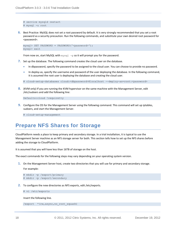```
# service mysqld restart
# mysql -u root
```
**6.** Best Practice: MySQL does not set a root password by default. It is very strongly recommended that you set a root password as a security precaution. Run the following commands, and substitute your own desired root password for <password>.

```
mysql> SET PASSWORD = PASSWORD('<password>');
mysql> exit
```
From now on, start MySQL with  $mysq1 - p$  so it will prompt you for the password.

- **7.** Set up the database. The following command creates the cloud user on the database.
	- In dbpassword, specify the password to be assigned to the cloud user. You can choose to provide no password.
	- In deploy-as, specify the username and password of the user deploying the database. In the following command, it is assumed the root user is deploying the database and creating the cloud user.

# cloud-setup-databases cloud:<dbpassword>@localhost --deploy-as=root:<password>

**8.** (KVM only) If you are running the KVM hypervisor on the same machine with the Management Server, edit /etc/sudoers and add the following line:

Defaults:cloud !requiretty

**9.** Configure the OS for the Management Server using the following command. This command will set up iptables, sudoers, and start the Management Server.

# cloud-setup-management

#### <span id="page-17-0"></span>**Prepare NFS Shares for Storage**

CloudPlatform needs a place to keep primary and secondary storage. In a trial installation, it is typical to use the Management Server machine as an NFS storage server for both. This section tells how to set up the NFS shares before adding the storage to CloudPlatform.

It is assumed that you will have less than 16TB of storage on the host.

The exact commands for the following steps may vary depending on your operating system version.

**1.** On the Management Server host, create two directories that you will use for primary and secondary storage.

For example:

```
# mkdir -p /export/primary
# mkdir -p /export/secondary
```
- **2.** To configure the new directories as NFS exports, edit /etc/exports.
	- # vi /etc/exports

Insert the following line.

/export \* (rw, async, no root squash)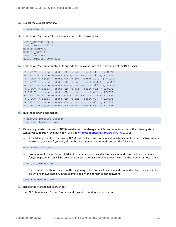**3.** Export the /export directory.

# exportfs -a

**4.** Edit the /etc/sysconfig/nfs file and uncomment the following lines.

```
LOCKD_TCPPORT=32803
LOCKD_UDPPORT=32769
MOUNTD_PORT=892
RQUOTAD_PORT=875
STATD_PORT=662
STATD_OUTGOING_PORT=2020
```
**5.** Edit the /etc/sysconfig/iptables file and add the following lines at the beginning of the INPUT chain.

```
-A INPUT -m state --state NEW -p udp --dport 111 -j ACCEPT
-A INPUT -m state --state NEW -p tcp --dport 111 -j ACCEPT
-A INPUT -m state --state NEW -p tcp --dport 2049 -j ACCEPT
-A INPUT -m state --state NEW -p tcp --dport 32803 -j ACCEPT
-A INPUT -m state --state NEW -p udp --dport 32769 -j ACCEPT
-A INPUT -m state --state NEW -p tcp --dport 892 -j ACCEPT
-A INPUT -m state --state NEW -p udp --dport 892 -j ACCEPT
-A INPUT -m state --state NEW -p tcp --dport 875 -j ACCEPT
-A INPUT -m state --state NEW -p udp --dport 875 -j ACCEPT
-A INPUT -m state --state NEW -p tcp --dport 662 -j ACCEPT
-A INPUT -m state --state NEW -p udp --dport 662 -j ACCEPT
```
**6.** Run the following commands:

```
# service iptables restart
# service iptables save
```
- **7.** Depending on which version of NFS is installed on the Management Server node, take one of the following steps. XenServer supports NFSv3, but not NFSv4 (se[e http://support.citrix.com/article/CTX123996\)](http://support.citrix.com/article/CTX123996).
	- a. If the Management Server is using NFSv4 but the hypervisor requires NFSv3 (for example, when the hypervisor is XenServer), edit /etc/sysconfig/nfs on the Management Server node and set the following:

MOUNTD\_NFS\_V3="yes"

b. (Not applicable on XenServer) If NFS v4 communication is used between client and server, add your domain to /etc/idmapd.conf. You will be doing this on both the Management Server (now) and the hypervisor host (later).

# vi /etc/idmapd.conf

Then remove the character # from the beginning of the Domain line in idmapd.conf and replace the value in the file with your own domain. In the example below, the domain is company.com.

Domain = company.com

**8.** Reboot the Management Server host.

Two NFS shares called /export/primary and /export/secondary are now set up.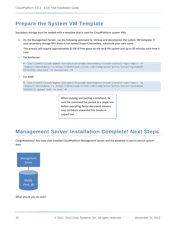### <span id="page-19-0"></span>**Prepare the System VM Template**

Secondary storage must be seeded with a template that is used for CloudPlatform system VMs.

**1.** On the Management Server, run the following command to retrieve and decompress the system VM template. If your secondary storage NFS share is not named /export/secondary, substitute your own name.

This process will require approximately 10 GB of free space on the local file system and up to 30 minutes each time it runs.

For XenServer:

```
# /usr/lib64/cloud/agent/scripts/storage/secondary/cloud-install-sys-tmplt -m 
/export/secondary -u http://download.cloud.com/templates/acton/acton-systemvm-
02062012.vhd.bz2 -h xenserver -F
```
For KVM:

```
# /usr/lib64/cloud/agent/scripts/storage/secondary/cloud-install-sys-tmplt -m 
/export/secondary -u http://download.cloud.com/templates/acton/acton-systemvm-
02062012.qcow2.bz2 -h kvm -F
```
When copying and pasting a command, be sure the command has pasted as a single line before executing. Some document viewers may introduce unwanted line breaks in copied text.

### <span id="page-19-1"></span>**Management Server Installation Complete! Next Steps**

Congratulations! You have now installed CloudPlatform Management Server and the database it uses to persist system data.



What should you do next?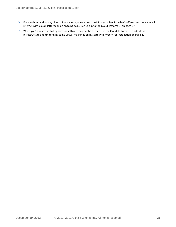- Even without adding any cloud infrastructure, you can run the UI to get a feel for what's offered and how you will interact with CloudPlatform on an ongoing basis. See [Log In to the CloudPlatform](#page-26-0) UI on page [27.](#page-26-0)
- When you're ready, install hypervisor software on your host, then use the CloudPlatform UI to add cloud infrastructure and try running some virtual machines on it. Start wit[h Hypervisor Installation](#page-21-0) on pag[e 22.](#page-21-0)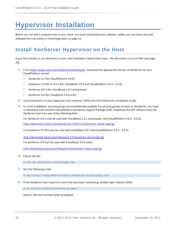## <span id="page-21-0"></span>**Hypervisor Installation**

Before you can add a compute host to your cloud, you must install hypervisor software. Make sure you have read and followed the instructions i[n Host/Hypervisor](#page-13-0) on page [14.](#page-13-0)

### <span id="page-21-1"></span>**Install XenServer Hypervisor on the Host**

If you have chosen to use XenServer in your trial installation, follow these steps. The alternative is to use KVM (see page [23\)](#page-22-0).

- **1.** Fro[m https://www.citrix.com/English/ss/downloads/,](https://www.citrix.com/English/ss/downloads/) download the appropriate version of XenServer for your CloudPlatform version.
	- XenServer 6.1 (for CloudPlatform 3.0.6)
	- XenServer 5.6 SP2 or 6.0.2 (for CloudStack 3.0.2 and CloudPlatform 3.0.3 3.0.5)
	- XenServer 6.0.2 (for CloudStack 3.0.1 and greater)
	- XenServer 6.0 (for CloudStack 3.0.0 only)
- **2.** Install XenServer on your hypervisor host machine. Follow the Citrix XenServer Installation Guide.
- **3.** In a trial installation, security groups are automatically enabled. For security groups to work on XenServer, you need to download and install the CloudPlatform XenServer Support Package (CSP). Download the CSP software onto the XenServer host from one of the following links:

For XenServer 6.0.2 (can be used with CloudStack 3.0.1 and greater, and CloudPlatform 3.0.3 - 3.0.5):

<http://download.cloud.com/releases/3.0.1/XS-6.0.2/xenserver-cloud-supp.tgz>

For XenServer 5.6 SP2 (can be used with CloudStack 3.0.2 and CloudPlatform 3.0.3 - 3.0.5):

<http://download.cloud.com/releases/2.2.0/xenserver-cloud-supp.tgz>

For XenServer 6.0 (can be used with CloudStack 3.0.0 only):

<http://download.cloud.com/releases/3.0/xenserver-cloud-supp.tgz>

- **4.** Extract the file:
	- # tar xf xenserver-cloud-supp.tgz
- **5.** Run the following script:

# xe-install-supplemental-pack xenserver-cloud-supp.iso

**6.** If the XenServer host is part of a zone that uses basic networking, disable Open vSwitch (OVS):

# xe-switch-network-backend bridge

Restart the host machine when prompted.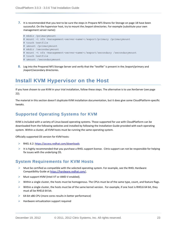**7.** It is recommended that you test to be sure the steps i[n Prepare NFS Shares](#page-17-0) for Storage on pag[e 18](#page-17-0) have been successful. On the hypervisor host, try to mount the /export directories. For example (substitute your own management server name):

```
# mkdir /primarymount 
# mount -t nfs <management-server-name>:/export/primary /primarymount 
# touch testfile
# umount /primarymount 
# mkdir /secondarymount 
# mount -t nfs <management-server-name>:/export/secondary /secondarymount
# touch testfile 
# umount /secondarymount
```
**8.** Log into the Prepared NFS Storage Server and verify that the "testfile" is present in the /export/primary and /export/secondary directories.

### <span id="page-22-0"></span>**Install KVM Hypervisor on the Host**

If you have chosen to use KVM in your trial installation, follow these steps. The alternative is to use XenServer (see page [22\)](#page-21-1).

The material in this section doesn't duplicate KVM installation documentation, but it does give some CloudPlatform-specific tweaks.

#### <span id="page-22-1"></span>**Supported Operating Systems for KVM**

KVM is included with a variety of Linux-based operating systems. Those supported for use with CloudPlatform can be downloaded from the following websites and installed by following the Installation Guide provided with each operating system. Within a cluster, all KVM hosts must be running the same operating system.

Officially supported OS version for KVM hosts:

- RHEL 6.2[: https://access.redhat.com/downloads](https://access.redhat.com/downloads)
- $\triangleright$  It is highly recommended that you purchase a RHEL support license. Citrix support can not be responsible for helping fix issues with the underlying OS.

#### <span id="page-22-2"></span>**System Requirements for KVM Hosts**

- $\triangleright$  Must be certified as compatible with the selected operating system. For example, see the RHEL Hardware Compatibility Guide a[t https://hardware.redhat.com/](https://hardware.redhat.com/)**.**
- Must support HVM (Intel-VT or AMD-V enabled).
- $\triangleright$  Within a single cluster, the hosts must be homogenous. The CPUs must be of the same type, count, and feature flags.
- $\triangleright$  Within a single cluster, the hosts must be of the same kernel version. For example, if one host is RHEL6 64 bit, they must all be RHEL6 64 bit.
- ▶ 64-bit x86 CPU (more cores results in better performance)
- Hardware virtualization support required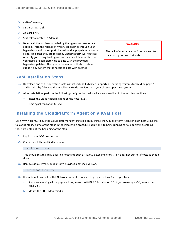- $\triangleright$  4 GB of memory
- 36 GB of local disk
- At least 1 NIC
- $\triangleright$  Statically allocated IP Address
- $\triangleright$  Be sure all the hotfixes provided by the hypervisor vendor are applied. Track the release of hypervisor patches through your hypervisor vendor's support channel, and apply patches as soon as possible after they are released. CloudPlatform will not track or notify you of required hypervisor patches. It is essential that your hosts are completely up to date with the provided hypervisor patches. The hypervisor vendor is likely to refuse to support any system that is not up to date with patches.

#### **WARNING**

The lack of up-do-date hotfixes can lead to data corruption and lost VMs.

#### <span id="page-23-0"></span>**KVM Installation Steps**

- **1.** Download one of the operating systems that include KVM (see [Supported Operating Systems for KVM](#page-22-1) on page [23\)](#page-22-1) and install it by following the Installation Guide provided with your chosen operating system.
- **2.** After installation, perform the following configuration tasks, which are described in the next few sections:
	- **Install the CloudPlatform agent on the host (p. [24\)](#page-23-1)**
	- Time synchronization (p[. 25\)](#page-24-0)

#### <span id="page-23-1"></span>**Installing the CloudPlatform Agent on a KVM Host**

Each KVM host must have the CloudPlatform Agent installed on it. Install the CloudPlatform Agent on each host using the following steps. Some of the steps in the installation procedure apply only to hosts running certain operating systems; these are noted at the beginning of the step.

- **1.** Log in to the KVM host as root.
- **2.** Check for a fully qualified hostname.

# hostname --fqdn

This should return a fully qualified hostname such as "kvm1.lab.example.org". If it does not edit /etc/hosts so that it does.

**3.** Remove qemu-kvm. CloudPlatform provides a patched version.

# yum erase qemu-kvm

- **4.** If you do not have a Red Hat Network account, you need to prepare a local Yum repository.
	- a. If you are working with a physical host, insert the RHEL 6.2 installation CD. If you are using a VM, attach the RHEL6 ISO.
	- b. Mount the CDROM to /media.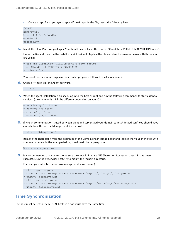c. Create a repo file at /etc/yum.repos.d/rhel6.repo. In the file, insert the following lines:

```
[rhel]
name=rhel6
baseurl=file:///media
enabled=1
gpgcheck=0
```
**5.** Install the CloudPlatform packages. You should have a file in the form of "CloudStack-VERSION-N-OSVERSION.tar.gz".

Untar the file and then run the install.sh script inside it. Replace the file and directory names below with those you are using:

```
# tar xzf CloudStack-VERSION-N-OSVERSION.tar.gz
# cd CloudStack-VERSION-N-OSVERSION
# ./install.sh
```
You should see a few messages as the installer prepares, followed by a list of choices.

**6.** Choose "A" to install the Agent software.

> A

**7.** When the agent installation is finished, log in to the host as root and run the following commands to start essential services (the commands might be different depending on your OS):

```
# service rpcbind start
# service nfs start
# chkconfig nfs on
# chkconfig rpcbind on
```
**8.** If NFS v4 communication is used between client and server, add your domain to /etc/idmapd.conf. You should have already done this on the Management Server host.

# vi /etc/idmapd.conf

Remove the character # from the beginning of the Domain line in idmapd.conf and replace the value in the file with your own domain. In the example below, the domain is company.com.

Domain = company.com

**9.** It is recommended that you test to be sure the steps in [Prepare NFS Shares](#page-17-0) for Storage on page [18](#page-17-0) have been successful. On the hypervisor host, try to mount the /export directories.

For example (substitute your own management server name):

```
# mkdir /primarymount
# mount -t nfs <management-server-name>:/export/primary /primarymount
# umount /primarymount
# mkdir /secondarymount
# mount -t nfs <management-server-name>:/export/secondary /secondarymount
# umount /secondarymount
```
#### <span id="page-24-0"></span>**Time Synchronization**

The host must be set to use NTP. All hosts in a pod must have the same time.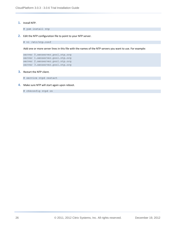**1.** Install NTP.

# yum install ntp

**2.** Edit the NTP configuration file to point to your NTP server.

# vi /etc/ntp.conf

Add one or more server lines in this file with the names of the NTP servers you want to use. For example:

```
server 0.xenserver.pool.ntp.org
server 1.xenserver.pool.ntp.org
server 2.xenserver.pool.ntp.org
server 3.xenserver.pool.ntp.org
```
**3.** Restart the NTP client.

# service ntpd restart

**4.** Make sure NTP will start again upon reboot.

# chkconfig ntpd on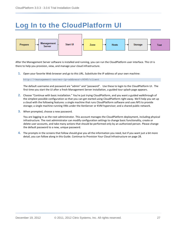## <span id="page-26-0"></span>**Log In to the CloudPlatform UI**



After the Management Server software is installed and running, you can run the CloudPlatform user interface. This UI is there to help you provision, view, and manage your cloud infrastructure.

**1.** Open your favorite Web browser and go to this URL. Substitute the IP address of your own machine:

http://<management-server-ip-address>:8080/client

The default username and password are "admin" and "password". Use these to login to the CloudPlatform UI. The first time you start the UI after a fresh Management Server installation, a guided tour splash page appears.

- **2.** Choose "Continue with basic installation." You're just trying CloudPlatform, and you want a guided walkthrough of the simplest possible configuration so that you can get started using CloudPlatform right away. We'll help you set up a cloud with the following features: a single machine that runs CloudPlatform software and uses NFS to provide storage; a single machine running VMs under the XenServer or KVM hypervisor; and a shared public network.
- **3.** When prompted, choose a new password.

You are logging in as the root administrator. This account manages the CloudPlatform deployment, including physical infrastructure. The root administrator can modify configuration settings to change basic functionality, create or delete user accounts, and take many actions that should be performed only by an authorized person. Please change the default password to a new, unique password.

**4.** The prompts in the screens that follow should give you all the information you need, but if you want just a bit more detail, you can follow along in this Guide. Continue t[o Provision Your Cloud Infrastructure](#page-27-0) on pag[e 28.](#page-27-0)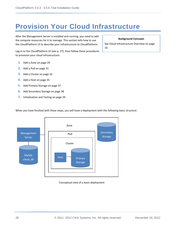## <span id="page-27-0"></span>**Provision Your Cloud Infrastructure**

After the Management Server is installed and running, you need to add the compute resources for it to manage. This section tells how to use the CloudPlatform UI to describe your infrastructure to CloudPlatform.

Log in to the CloudPlatform UI (see p[. 27\)](#page-26-0), then follow these procedures to provision your cloud infrastructure:

- **1.** [Add a Zone](#page-28-0) on page [29](#page-28-0)
- **2.** [Add a Pod](#page-30-0) on pag[e 31](#page-30-0)
- **3.** Add a [Cluster](#page-32-0) on page [33](#page-32-0)
- **4.** [Add a Host](#page-34-0) on pag[e 35](#page-34-0)
- **5.** [Add Primary Storage](#page-36-0) on page [37](#page-36-0)
- **6.** [Add Secondary Storage](#page-37-0) on pag[e 38](#page-37-0)
- **7.** [Initialization and Testing](#page-38-0) on page [39](#page-38-0)

#### **Background Concepts**

See [Cloud Infrastructure](#page-9-0) Overview on page [10.](#page-9-0)

When you have finished with these steps, you will have a deployment with the following basic structure:



Conceptual view of a basic deployment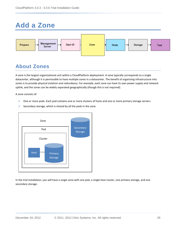## <span id="page-28-0"></span>**Add a Zone**



### <span id="page-28-1"></span>**About Zones**

A zone is the largest organizational unit within a CloudPlatform deployment. A zone typically corresponds to a single datacenter, although it is permissible to have multiple zones in a datacenter. The benefit of organizing infrastructure into zones is to provide physical isolation and redundancy. For example, each zone can have its own power supply and network uplink, and the zones can be widely separated geographically (though this is not required).

A zone consists of:

- $\triangleright$  One or more pods. Each pod contains one or more clusters of hosts and one or more primary storage servers.
- Secondary storage, which is shared by all the pods in the zone.



In the trial installation, you will have a single zone with one pod, a single-host cluster, one primary storage, and one secondary storage.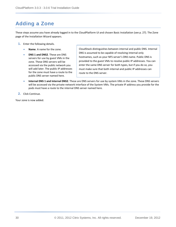### <span id="page-29-0"></span>**Adding a Zone**

These steps assume you have already logged in to the CloudPlatform UI and chosen Basic Installation (see p. [27\)](#page-26-0). The Zone page of the Installation Wizard appears.

- **1.** Enter the following details.
	- **Name**. A name for the zone.
	- **DNS 1 and DNS2**. These are DNS servers for use by guest VMs in the zone. These DNS servers will be accessed via the public network you will add later. The public IP addresses for the zone must have a route to the public DNS server named here.

CloudStack distinguishes between internal and public DNS. Internal DNS is assumed to be capable of resolving internal-only hostnames, such as your NFS server's DNS name. Public DNS is provided to the guest VMs to resolve public IP addresses. You can enter the same DNS server for both types, but if you do so, you must make sure that both internal and public IP addresses can route to the DNS server.

- **Internal DNS 1 and Internal DNS2**. These are DNS servers for use by system VMs in the zone. These DNS servers will be accessed via the private network interface of the System VMs. The private IP address you provide for the pods must have a route to the internal DNS server named here.
- **2.** Click Continue.

Your zone is now added.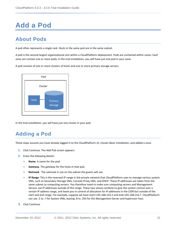## <span id="page-30-0"></span>**Add a Pod**

### <span id="page-30-1"></span>**About Pods**

A pod often represents a single rack. Hosts in the same pod are in the same subnet.

A pod is the second-largest organizational unit within a CloudPlatform deployment. Pods are contained within zones. Each zone can contain one or more pods; in the trial installation, you will have just one pod in your zone.

A pod consists of one or more clusters of hosts and one or more primary storage servers.



In the trial installation, you will have just one cluster in your pod.

### <span id="page-30-2"></span>**Adding a Pod**

These steps assume you have already logged in to the CloudPlatform UI, chosen Basic Installation, and added a zone.

- **1.** Click Continue. The Add Pod screen appears.
- **2.** Enter the following details.
	- **Name**. A name for the pod.
	- **Gateway**. The gateway for the hosts in that pod.
	- **Netmask**. The netmask in use on the subnet the guests will use.
	- **IP Range**: This is the reserved IP range in the private network that CloudPlatform uses to manage various system VMs, such as Secondary Storage VMs, Console Proxy VMs, and DHCP. These IP addresses are taken from the same subnet as computing servers. You therefore need to make sure computing servers and Management Servers use IP addresses outside of this range. These two values combine to give the system control over a certain IP address range, and leave you in control of allocation for IP addresses in the CIDR but outside of the start and end range. For example, suppose we have start=192.168.154.2 and end=192.168.154.7. CloudPlatform can use .2 to .7 for System VMs, leaving .8 to .254 for the Management Server and hypervisor host.
- **3.** Click Continue.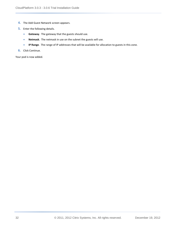- **4.** The Add Guest Network screen appears.
- **5.** Enter the following details.
	- **Gateway**. The gateway that the guests should use.
	- **Netmask**. The netmask in use on the subnet the guests will use.
	- **IP Range**. The range of IP addresses that will be available for allocation to guests in this zone.
- **6.** Click Continue.

Your pod is now added.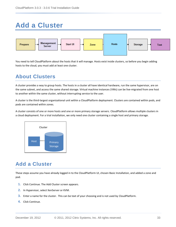## <span id="page-32-0"></span>**Add a Cluster**



You need to tell CloudPlatform about the hosts that it will manage. Hosts exist inside clusters, so before you begin adding hosts to the cloud, you must add at least one cluster.

### <span id="page-32-1"></span>**About Clusters**

A cluster provides a way to group hosts. The hosts in a cluster all have identical hardware, run the same hypervisor, are on the same subnet, and access the same shared storage. Virtual machine instances (VMs) can be live-migrated from one host to another within the same cluster, without interrupting service to the user.

A cluster is the third-largest organizational unit within a CloudPlatform deployment. Clusters are contained within pods, and pods are contained within zones.

A cluster consists of one or more hosts and one or more primary storage servers. CloudPlatform allows multiple clusters in a cloud deployment. For a trial installation, we only need one cluster containing a single host and primary storage.



### <span id="page-32-2"></span>**Add a Cluster**

These steps assume you have already logged in to the CloudPlatform UI, chosen Basic Installation, and added a zone and pod.

- **1.** Click Continue. The Add Cluster screen appears.
- **2.** In Hypervisor, select XenServer or KVM.
- **3.** Enter a name for the cluster. This can be text of your choosing and is not used by CloudPlatform.
- **4.** Click Continue.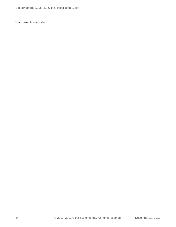Your cluster is now added.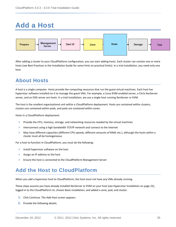## <span id="page-34-0"></span>**Add a Host**



After adding a cluster to your CloudPlatform configuration, you can start adding hosts. Each cluster can contain one or more hosts (see Best Practices in the Installation Guide for some hints on practical limits). In a trial installation, you need only one host.

### <span id="page-34-1"></span>**About Hosts**

A host is a single computer. Hosts provide the computing resources that run the guest virtual machines. Each host has hypervisor software installed on it to manage the guest VMs. For example, a Linux KVM-enabled server, a Citrix XenServer server, and an ESXi server are hosts. In a trial installation, we use a single host running XenServer or KVM.

The host is the smallest organizational unit within a CloudPlatform deployment. Hosts are contained within clusters, clusters are contained within pods, and pods are contained within zones.

Hosts in a CloudPlatform deployment:

- $\triangleright$  Provide the CPU, memory, storage, and networking resources needed by the virtual machines
- $\triangleright$  Interconnect using a high bandwidth TCP/IP network and connect to the Internet
- $\triangleright$  May have different capacities (different CPU speeds, different amounts of RAM, etc.), although the hosts within a cluster must all be homogeneous

For a host to function in CloudPlatform, you must do the following:

- $\triangleright$  Install hypervisor software on the host
- $\triangleright$  Assign an IP address to the host
- <span id="page-34-2"></span> $\triangleright$  Ensure the host is connected to the CloudPlatform Management Server

### **Add the Host to CloudPlatform**

When you add a hypervisor host to CloudPlatform, the host must not have any VMs already running.

These steps assume you have already installed XenServer or KVM on your host (se[e Hypervisor Installation](#page-21-0) on page [22\)](#page-21-0), logged in to the CloudPlatform UI, chosen Basic Installation, and added a zone, pod, and cluster.

- **1.** Click Continue. The Add Host screen appears.
- **2.** Provide the following details.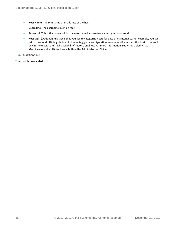- **Host Name**. The DNS name or IP address of the host.
- **Username**. The username must be root.
- **Password**. This is the password for the user named above (from your hypervisor install).
- **Host tags.** (Optional) Any labels that you use to categorize hosts for ease of maintenance. For example, you can set to the cloud's HA tag (defined in the ha.tag global configuration parameter) if you want this host to be used only for VMs with the "high availability" feature enabled. For more information, see HA-Enabled Virtual Machines as well as HA for Hosts, both in the Administration Guide.
- **3.** Click Continue.

Your host is now added.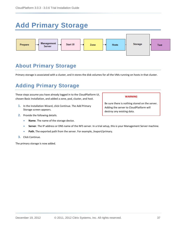## <span id="page-36-0"></span>**Add Primary Storage**



### <span id="page-36-1"></span>**About Primary Storage**

Primary storage is associated with a cluster, and it stores the disk volumes for all the VMs running on hosts in that cluster.

### <span id="page-36-2"></span>**Adding Primary Storage**

These steps assume you have already logged in to the CloudPlatform UI, chosen Basic Installation, and added a zone, pod, cluster, and host.

- **1.** In the Installation Wizard, click Continue. The Add Primary Storage screen appears.
- **2.** Provide the following details.
	- **Name**. The name of the storage device.
	- **Server**. The IP address or DNS name of the NFS server. In a trial setup, this is your Management Server machine.
	- **Path.** The exported path from the server. For example, /export/primary.
- **3.** Click Continue.

The primary storage is now added.

#### **WARNING**

Be sure there is nothing stored on the server. Adding the server to CloudPlatform will destroy any existing data.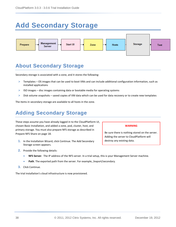## <span id="page-37-0"></span>**Add Secondary Storage**



### <span id="page-37-1"></span>**About Secondary Storage**

Secondary storage is associated with a zone, and it stores the following:

- $\triangleright$  Templates OS images that can be used to boot VMs and can include additional configuration information, such as installed applications
- $\triangleright$  ISO images disc images containing data or bootable media for operating systems
- $\triangleright$  Disk volume snapshots saved copies of VM data which can be used for data recovery or to create new templates

The items in secondary storage are available to all hosts in the zone.

### <span id="page-37-2"></span>**Adding Secondary Storage**

These steps assume you have already logged in to the CloudPlatform UI, chosen Basic Installation, and added a zone, pod, cluster, host, and primary storage. You must also prepare NFS storage as described in [Prepare NFS Share](#page-17-0) on pag[e 18.](#page-17-0)

**1.** In the Installation Wizard, click Continue. The Add Secondary Storage screen appears.

#### **WARNING**

Be sure there is nothing stored on the server. Adding the server to CloudPlatform will destroy any existing data.

- **2.** Provide the following details:
	- **NFS Server**. The IP address of the NFS server. In a trial setup, this is your Management Server machine.
	- **Path**. The exported path from the server. For example, /export/secondary.
- **3.** Click Continue.

The trial installation's cloud infrastructure is now provisioned.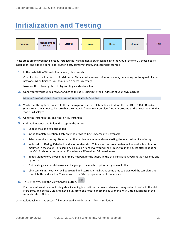## <span id="page-38-0"></span>**Initialization and Testing**



These steps assume you have already installed the Management Server, logged in to the CloudPlatform UI, chosen Basic Installation, and added a zone, pod, cluster, host, primary storage, and secondary storage.

**1.** In the Installation Wizard's final screen, click Launch.

CloudPlatform will perform its initialization. This can take several minutes or more, depending on the speed of your network. When finished, you should see a success message.

Now use the following steps to try creating a virtual machine:

**2.** Open your favorite Web browser and go to this URL. Substitute the IP address of your own machine:

http://<management-server-ip-address>:8080/client

- **3.** Verify that the system is ready. In the left navigation bar, select Templates. Click on the CentOS 5.5 (64bit) no Gui (KVM) template. Check to be sure that the status is "Download Complete." Do not proceed to the next step until this status is displayed.
- **4.** Go to the Instances tab, and filter by My Instances.
- **5.** Click Add Instance and follow the steps in the wizard.
	- a. Choose the zone you just added.
	- b. In the template selection, likely only the provided CentOS template is available.
	- c. Select a service offering. Be sure that the hardware you have allows starting the selected service offering.
	- d. In data disk offering, if desired, add another data disk. This is a second volume that will be available to but not mounted in the guest. For example, in Linux on XenServer you will see /dev/xvdb in the guest after rebooting the VM. A reboot is not required if you have a PV-enabled OS kernel in use.
	- e. In default network, choose the primary network for the guest. In the trial installation, you should have only one option here.
	- f. Optionally give your VM a name and a group. Use any descriptive text you would like.
	- g. Click Launch VM. Your VM will be created and started. It might take some time to download the template and complete the VM startup. You can watch the VM's progress in the Instances screen.
- **6.** To use the VM, click the View Console button.

For more information about using VMs, including instructions for how to allow incoming network traffic to the VM, start, stop, and delete VMs, and move a VM from one host to another, see Working With Virtual Machines in the Administrator's Guide.

Congratulations! You have successfully completed a Trial CloudPlatform Installation.